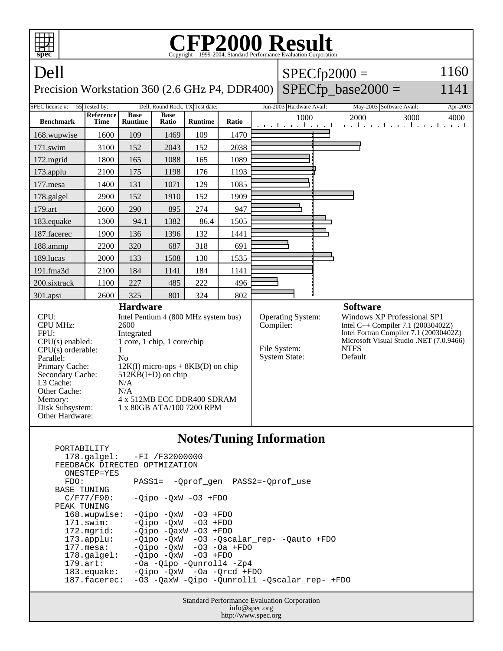| FP2000 Result<br>Copyright ©1999-2004, Standard Performance Evaluation Corporation<br>spec                                                                                                                                                                                                                                                                                                                                                                                                             |                                 |                               |                      |                                 |           |                                                                  |                          |                                                                                                                                                                                                              |                                                                 |          |
|--------------------------------------------------------------------------------------------------------------------------------------------------------------------------------------------------------------------------------------------------------------------------------------------------------------------------------------------------------------------------------------------------------------------------------------------------------------------------------------------------------|---------------------------------|-------------------------------|----------------------|---------------------------------|-----------|------------------------------------------------------------------|--------------------------|--------------------------------------------------------------------------------------------------------------------------------------------------------------------------------------------------------------|-----------------------------------------------------------------|----------|
| Dell                                                                                                                                                                                                                                                                                                                                                                                                                                                                                                   |                                 |                               |                      |                                 |           |                                                                  |                          |                                                                                                                                                                                                              | $SPECfp2000 =$                                                  | 1160     |
| Precision Workstation 360 (2.6 GHz P4, DDR400)                                                                                                                                                                                                                                                                                                                                                                                                                                                         |                                 |                               |                      |                                 |           |                                                                  |                          |                                                                                                                                                                                                              | $SPECfp\_base2000 =$                                            | 1141     |
| SPEC license #:                                                                                                                                                                                                                                                                                                                                                                                                                                                                                        | 55 Tested by:                   |                               |                      | Dell, Round Rock, TX Test date: |           |                                                                  | Jun-2003 Hardware Avail: |                                                                                                                                                                                                              | May-2003 Software Avail:                                        | Apr-2003 |
| <b>Benchmark</b>                                                                                                                                                                                                                                                                                                                                                                                                                                                                                       | <b>Reference</b><br><b>Time</b> | <b>Base</b><br><b>Runtime</b> | <b>Base</b><br>Ratio | <b>Runtime</b>                  | Ratio     |                                                                  | 1000                     |                                                                                                                                                                                                              | 2000<br>3000<br>المتوجا وتوجا وتوجا وتوجا وتوجا وتوجا وتوجا وتو | 4000     |
| 168.wupwise                                                                                                                                                                                                                                                                                                                                                                                                                                                                                            | 1600                            | 109                           | 1469                 | 109                             | 1470      |                                                                  |                          |                                                                                                                                                                                                              |                                                                 |          |
| $171$ .swim                                                                                                                                                                                                                                                                                                                                                                                                                                                                                            | 3100                            | 152                           | 2043                 | 152                             | 2038      |                                                                  |                          |                                                                                                                                                                                                              |                                                                 |          |
| 172.mgrid                                                                                                                                                                                                                                                                                                                                                                                                                                                                                              | 1800                            | 165                           | 1088                 | 165                             | 1089      |                                                                  |                          |                                                                                                                                                                                                              |                                                                 |          |
| 173.applu                                                                                                                                                                                                                                                                                                                                                                                                                                                                                              | 2100                            | 175                           | 1198                 | 176                             | 1193      |                                                                  |                          |                                                                                                                                                                                                              |                                                                 |          |
| 177.mesa                                                                                                                                                                                                                                                                                                                                                                                                                                                                                               | 1400                            | 131                           | 1071                 | 129                             | 1085      |                                                                  |                          |                                                                                                                                                                                                              |                                                                 |          |
| 178.galgel                                                                                                                                                                                                                                                                                                                                                                                                                                                                                             | 2900                            | 152                           | 1910                 | 152                             | 1909      |                                                                  |                          |                                                                                                                                                                                                              |                                                                 |          |
| 179.art                                                                                                                                                                                                                                                                                                                                                                                                                                                                                                | 2600                            | 290                           | 895                  | 274                             | 947       |                                                                  |                          |                                                                                                                                                                                                              |                                                                 |          |
| 183.equake                                                                                                                                                                                                                                                                                                                                                                                                                                                                                             | 1300                            | 94.1                          | 1382                 | 86.4                            | 1505      |                                                                  |                          |                                                                                                                                                                                                              |                                                                 |          |
| 187.facerec                                                                                                                                                                                                                                                                                                                                                                                                                                                                                            | 1900                            | 136                           | 1396                 | 132                             | 1441      |                                                                  |                          |                                                                                                                                                                                                              |                                                                 |          |
| 188.ammp                                                                                                                                                                                                                                                                                                                                                                                                                                                                                               | 2200                            | 320                           | 687                  | 318                             | 691       |                                                                  |                          |                                                                                                                                                                                                              |                                                                 |          |
| 189.lucas                                                                                                                                                                                                                                                                                                                                                                                                                                                                                              | 2000                            | 133                           | 1508                 | 130                             | 1535      |                                                                  |                          |                                                                                                                                                                                                              |                                                                 |          |
| 191.fma3d                                                                                                                                                                                                                                                                                                                                                                                                                                                                                              | 2100                            | 184                           | 1141                 | 184                             | 1141      |                                                                  |                          |                                                                                                                                                                                                              |                                                                 |          |
| 200.sixtrack                                                                                                                                                                                                                                                                                                                                                                                                                                                                                           | 1100                            | 227                           | 485                  | 222                             | 496       |                                                                  |                          |                                                                                                                                                                                                              |                                                                 |          |
| 301.apsi                                                                                                                                                                                                                                                                                                                                                                                                                                                                                               | 2600                            | 325                           | 801                  | 324                             | 802       |                                                                  |                          |                                                                                                                                                                                                              |                                                                 |          |
| <b>Hardware</b><br>CPU:<br>Intel Pentium 4 (800 MHz system bus)<br><b>CPU MHz:</b><br>2600<br>FPU:<br>Integrated<br>1 core, 1 chip, 1 core/chip<br>$CPU(s)$ enabled:<br>$CPU(s)$ orderable:<br>$\mathbf{1}$<br>Parallel:<br>N <sub>0</sub><br>Primary Cache:<br>$12K(I)$ micro-ops + 8KB(D) on chip<br>Secondary Cache:<br>$512KB(I+D)$ on chip<br>L3 Cache:<br>N/A<br>Other Cache:<br>N/A<br>4 x 512MB ECC DDR400 SDRAM<br>Memory:<br>Disk Subsystem:<br>1 x 80GB ATA/100 7200 RPM<br>Other Hardware: |                                 |                               |                      |                                 | Compiler: | <b>Operating System:</b><br>File System:<br><b>System State:</b> |                          | <b>Software</b><br><b>Windows XP Professional SP1</b><br>Intel C++ Compiler 7.1 $(20030402Z)$<br>Intel Fortran Compiler 7.1 (20030402Z)<br>Microsoft Visual Studio .NET (7.0.9466)<br><b>NTFS</b><br>Default |                                                                 |          |
| <b>Notes/Tuning Information</b><br>PORTABILITY                                                                                                                                                                                                                                                                                                                                                                                                                                                         |                                 |                               |                      |                                 |           |                                                                  |                          |                                                                                                                                                                                                              |                                                                 |          |

 178.galgel: -FI /F32000000 FEEDBACK DIRECTED OPTMIZATION ONESTEP=YES<br>FDO: PASS1= -Qprof\_gen PASS2=-Qprof\_use BASE TUNING<br>C/F77/F90:  $-Qipo -QxW -O3 +FDO$ PEAK TUNING<br>168.wupwise:  $-Qipo -QxW -O3 +FDO$  171.swim: -Qipo -QxW -O3 +FDO 172.mgrid: -Qipo -QaxW -O3 +FDO<br>173.applu: -Qipo -QxW -O3 -Qsc 173.applu: -Qipo -QxW -O3 -Qscalar\_rep- -Qauto +FDO 177.mesa: -Qipo -QxW -O3 -Oa +FDO 178.galgel: -Qipo -QxW -O3 +FDO 179.art: -Oa -Qipo -Qunroll4 -Zp4 183.equake: -Qipo -QxW -Oa -Qrcd +FDO 187.facerec: -O3 -QaxW -Qipo -Qunroll1 -Qscalar\_rep- +FDO

Standard Performance Evaluation Corporation info@spec.org http://www.spec.org